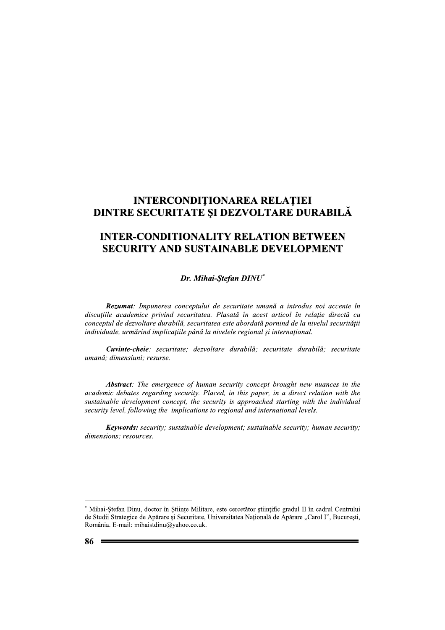# **INTERCONDITIONAREA RELATIEI** DINTRE SECURITATE ȘI DEZVOLTARE DURABILĂ

# **INTER-CONDITIONALITY RELATION BETWEEN SECURITY AND SUSTAINABLE DEVELOPMENT**

Dr. Mihai-Ştefan DINU\*

Rezumat: Impunerea conceptului de securitate umană a introdus noi accente în discuțiile academice privind securitatea. Plasată în acest articol în relație directă cu conceptul de dezvoltare durabilă, securitatea este abordată pornind de la nivelul securității individuale, urmărind implicațiile până la nivelele regional și internațional.

Cuvinte-cheie: securitate: dezvoltare durabilă: securitate durabilă: securitate umană: dimensiuni: resurse.

**Abstract:** The emergence of human security concept brought new nuances in the academic debates regarding security. Placed, in this paper, in a direct relation with the sustainable development concept, the security is approached starting with the individual security level, following the implications to regional and international levels.

**Keywords:** security; sustainable development; sustainable security; human security; dimensions; resources.

<sup>\*</sup> Mihai-Ștefan Dinu, doctor în Științe Militare, este cercetător științific gradul II în cadrul Centrului de Studii Strategice de Apărare și Securitate, Universitatea Națională de Apărare "Carol I", București, România. E-mail: mihaistdinu@yahoo.co.uk.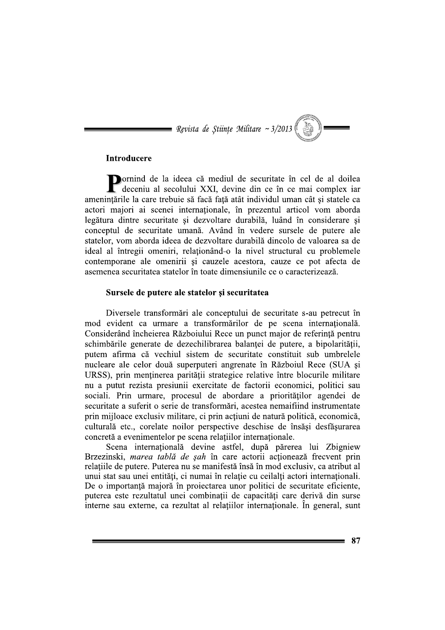= Revista de Științe Militare ~ 3/2013 (

## Introducere

Dornind de la ideea că mediul de securitate în cel de al doilea deceniu al secolului XXI, devine din ce în ce mai complex iar amenințările la care trebuie să facă față atât individul uman cât și statele ca actori maiori ai scenei internationale, în prezentul articol vom aborda legătura dintre securitate și dezvoltare durabilă, luând în considerare și conceptul de securitate umană. Având în vedere sursele de putere ale statelor, vom aborda ideea de dezvoltare durabilă dincolo de valoarea sa de ideal al întregii omeniri, relaționând-o la nivel structural cu problemele contemporane ale omenirii si cauzele acestora, cauze ce pot afecta de asemenea securitatea statelor în toate dimensiunile ce o caracterizează.

## Sursele de putere ale statelor și securitatea

Diversele transformari ale conceptului de securitate s-au petrecut în mod evident ca urmare a transformărilor de pe scena internațională. Considerând încheierea Războiului Rece un punct maior de referintă pentru schimbările generate de dezechilibrarea balantei de putere, a bipolarității, putem afirma că vechiul sistem de securitate constituit sub umbrelele nucleare ale celor două superputeri angrenate în Războiul Rece (SUA si URSS), prin menținerea parității strategice relative între blocurile militare nu a putut rezista presiunii exercitate de factorii economici, politici sau sociali. Prin urmare, procesul de abordare a priorităților agendei de securitate a suferit o serie de transformări, acestea nemaifiind instrumentate prin mijloace exclusiv militare, ci prin actiuni de natură politică, economică, culturală etc., corelate noilor perspective deschise de însăși desfășurarea concretă a evenimentelor pe scena relațiilor internaționale.

Scena internatională devine astfel, după părerea lui Zbigniew Brzezinski, marea tablă de sah în care actorii actionează frecvent prin relatiile de putere. Puterea nu se manifestă însă în mod exclusiv, ca atribut al unui stat sau unei entități, ci numai în relație cu ceilalți actori internaționali. De o importanță majoră în proiectarea unor politici de securitate eficiente, puterea este rezultatul unei combinatii de capacităti care derivă din surse interne sau externe, ca rezultat al relatiilor internationale. În general, sunt

87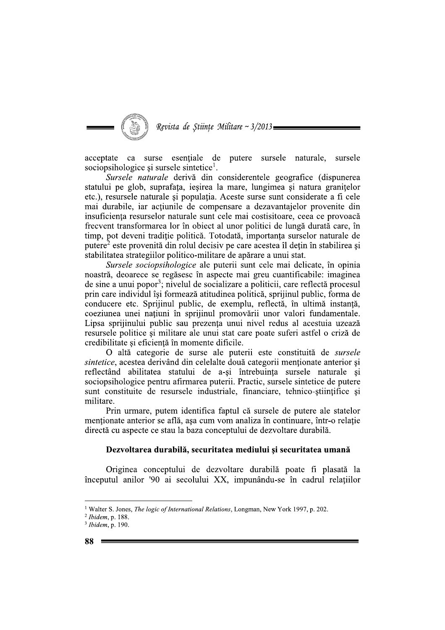

acceptate ca surse esențiale de putere sursele naturale, sursele sociopsihologice și sursele sintetice<sup>1</sup>.

Sursele naturale derivă din considerentele geografice (dispunerea statului pe glob, suprafața, ieșirea la mare, lungimea și natura granițelor etc.), resursele naturale și populația. Aceste surse sunt considerate a fi cele mai durabile, iar acțiunile de compensare a dezavantajelor provenite din insuficiența resurselor naturale sunt cele mai costisitoare, ceea ce provoacă frecvent transformarea lor în obiect al unor politici de lungă durată care, în timp, pot deveni tradiție politică. Totodată, importanța surselor naturale de putere<sup>2</sup> este provenită din rolul decisiv pe care acestea îl dețin în stabilirea si stabilitatea strategiilor politico-militare de apărare a unui stat.

Sursele sociopsihologice ale puterii sunt cele mai delicate, în opinia noastră, deoarece se regăsesc în aspecte mai greu cuantificabile: imaginea de sine a unui popor<sup>3</sup>; nivelul de socializare a politicii, care reflectă procesul prin care individul își formează atitudinea politică, sprijinul public, forma de conducere etc. Sprijinul public, de exemplu, reflectă, în ultimă instanță, coeziunea unei națiuni în sprijinul promovării unor valori fundamentale. Lipsa sprijinului public sau prezența unui nivel redus al acestuia uzează resursele politice și militare ale unui stat care poate suferi astfel o criză de credibilitate și eficiență în momente dificile.

O altă categorie de surse ale puterii este constituită de sursele sintetice, acestea derivând din celelalte două categorii menționate anterior și reflectând abilitatea statului de a-și întrebuința sursele naturale și sociopsihologice pentru afirmarea puterii. Practic, sursele sintetice de putere sunt constituite de resursele industriale, financiare, tehnico-stiințifice și militare.

Prin urmare, putem identifica faptul că sursele de putere ale statelor menționate anterior se află, așa cum vom analiza în continuare, într-o relație directă cu aspecte ce stau la baza conceptului de dezvoltare durabilă.

## Dezvoltarea durabilă, securitatea mediului și securitatea umană

Originea conceptului de dezvoltare durabilă poate fi plasată la începutul anilor '90 ai secolului XX, impunându-se în cadrul relatiilor

<sup>&</sup>lt;sup>1</sup> Walter S. Jones, *The logic of International Relations*, Longman, New York 1997, p. 202.

 $2$  Ibidem, p. 188.

<sup>&</sup>lt;sup>3</sup> Ibidem, p. 190.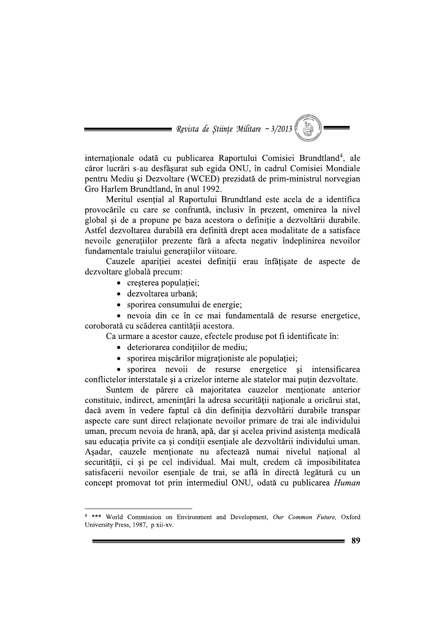**Example 2013** Revista de Stiințe Militare ~ 3/2013

internaționale odată cu publicarea Raportului Comisiei Brundtland<sup>4</sup>, ale căror lucrări s-au desfăsurat sub egida ONU, în cadrul Comisiei Mondiale pentru Mediu și Dezvoltare (WCED) prezidată de prim-ministrul norvegian Gro Harlem Brundtland, în anul 1992.

Meritul esențial al Raportului Brundtland este acela de a identifica provocările cu care se confruntă, inclusiv în prezent, omenirea la nivel global si de a propune pe baza acestora o definitie a dezvoltării durabile. Astfel dezvoltarea durabilă era definită drept acea modalitate de a satisface nevoile generațiilor prezente fără a afecta negativ îndeplinirea nevoilor fundamentale traiului generatiilor viitoare.

Cauzele aparitiei acestei definitii erau înfățisate de aspecte de dezvoltare globală precum:

- cresterea populatiei;
- · dezvoltarea urbană:
- sporirea consumului de energie;

· nevoia din ce în ce mai fundamentală de resurse energetice, coroborată cu scăderea cantității acestora.

Ca urmare a acestor cauze, efectele produse pot fi identificate în:

- · deteriorarea condițiilor de mediu;
- sporirea mișcărilor migraționiste ale populației;

• sporirea nevoii de resurse energetice si intensificarea conflictelor interstatale și a crizelor interne ale statelor mai puțin dezvoltate.

Suntem de părere că majoritatea cauzelor menționate anterior constituie, indirect, amenintări la adresa securității nationale a oricărui stat, dacă avem în vedere faptul că din definiția dezvoltării durabile transpar aspecte care sunt direct relationate nevoilor primare de trai ale individului uman, precum nevoia de hrană, apă, dar și acelea privind asistența medicală sau educația privite ca și condiții esențiale ale dezvoltării individului uman. Așadar, cauzele menționate nu afectează numai nivelul național al securității, ci și pe cel individual. Mai mult, credem că imposibilitatea satisfacerii nevoilor esentiale de trai, se află în directă legătură cu un concept promovat tot prin intermediul ONU, odată cu publicarea Human

<sup>&</sup>lt;sup>4</sup> \*\*\* World Commission on Environment and Development, Our Common Future, Oxford University Press, 1987, p xii-xv.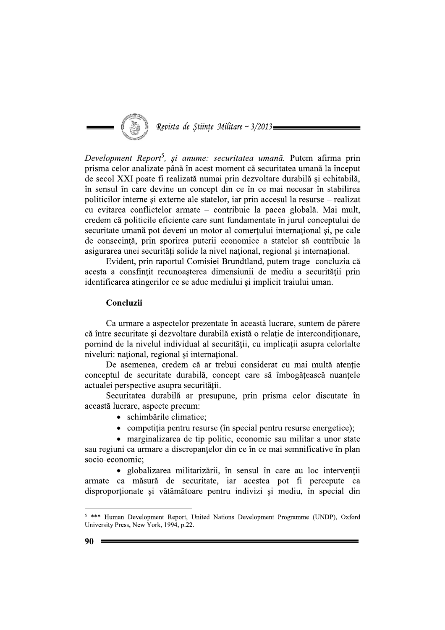

Development Report<sup>5</sup>, și anume: securitatea umană. Putem afirma prin prisma celor analizate până în acest moment că securitatea umană la început de secol XXI poate fi realizată numai prin dezvoltare durabilă și echitabilă, în sensul în care devine un concept din ce în ce mai necesar în stabilirea politicilor interne și externe ale statelor, iar prin accesul la resurse – realizat cu evitarea conflictelor armate – contribuie la pacea globală. Mai mult, credem că politicile eficiente care sunt fundamentate în jurul conceptului de securitate umană pot deveni un motor al comerțului internațional și, pe cale de consecință, prin sporirea puterii economice a statelor să contribuie la asigurarea unei securități solide la nivel național, regional și internațional.

Evident, prin raportul Comisiei Brundtland, putem trage concluzia că acesta a consfințit recunoașterea dimensiunii de mediu a securității prin identificarea atingerilor ce se aduc mediului și implicit traiului uman.

## Concluzii

Ca urmare a aspectelor prezentate în această lucrare, suntem de părere că între securitate și dezvoltare durabilă există o relatie de interconditionare. pornind de la nivelul individual al securității, cu implicații asupra celorlalte niveluri: național, regional și internațional.

De asemenea, credem că ar trebui considerat cu mai multă atentie conceptul de securitate durabilă, concept care să îmbogățească nuanțele actualei perspective asupra securității.

Securitatea durabilă ar presupune, prin prisma celor discutate în această lucrare, aspecte precum:

- schimbările climatice:
- competiția pentru resurse (în special pentru resurse energetice);

• marginalizarea de tip politic, economic sau militar a unor state sau regiuni ca urmare a discrepantelor din ce în ce mai semnificative în plan socio-economic;

· globalizarea militarizării, în sensul în care au loc intervenții armate ca măsură de securitate, iar acestea pot fi percepute ca disproporționate și vătămătoare pentru indivizi și mediu, în special din

<sup>&</sup>lt;sup>5</sup> \*\*\* Human Development Report, United Nations Development Programme (UNDP), Oxford University Press, New York, 1994, p.22.